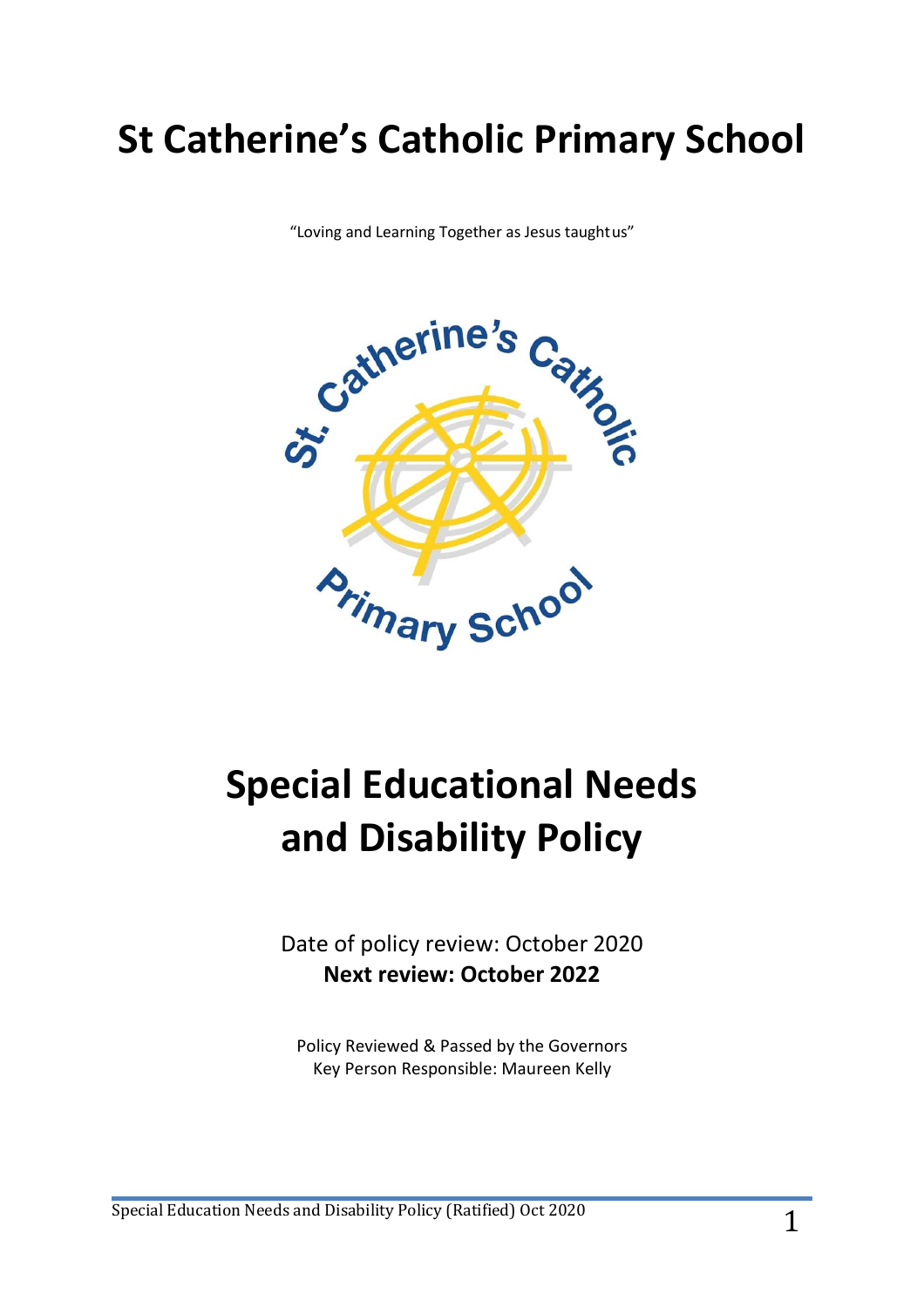## **St Catherine's Catholic Primary School**

"Loving and Learning Together as Jesus taughtus"



# **Special Educational Needs and Disability Policy**

Date of policy review: October 2020 **Next review: October 2022**

Policy Reviewed & Passed by the Governors Key Person Responsible: Maureen Kelly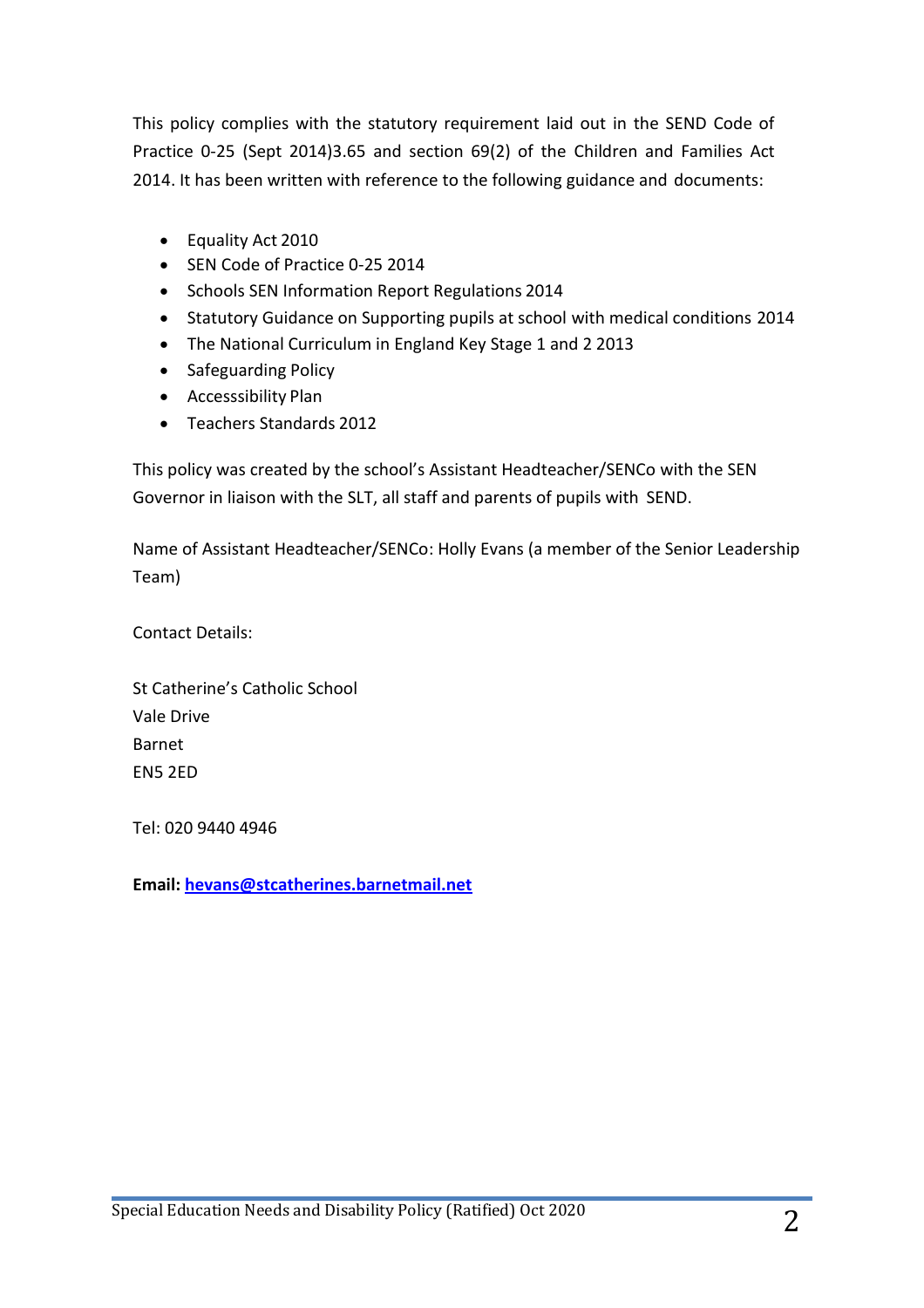This policy complies with the statutory requirement laid out in the SEND Code of Practice 0-25 (Sept 2014)3.65 and section 69(2) of the Children and Families Act 2014. It has been written with reference to the following guidance and documents:

- Equality Act 2010
- SEN Code of Practice 0-25 2014
- Schools SEN Information Report Regulations 2014
- Statutory Guidance on Supporting pupils at school with medical conditions 2014
- The National Curriculum in England Key Stage 1 and 2 2013
- Safeguarding Policy
- Accesssibility Plan
- Teachers Standards 2012

This policy was created by the school's Assistant Headteacher/SENCo with the SEN Governor in liaison with the SLT, all staff and parents of pupils with SEND.

Name of Assistant Headteacher/SENCo: Holly Evans (a member of the Senior Leadership Team)

Contact Details:

St Catherine's Catholic School Vale Drive Barnet EN5 2ED

Tel: 020 9440 4946

**Email: [hevans@stcatherines.barnetmail.net](mailto:hevans@stcatherines.barnetmail.net)**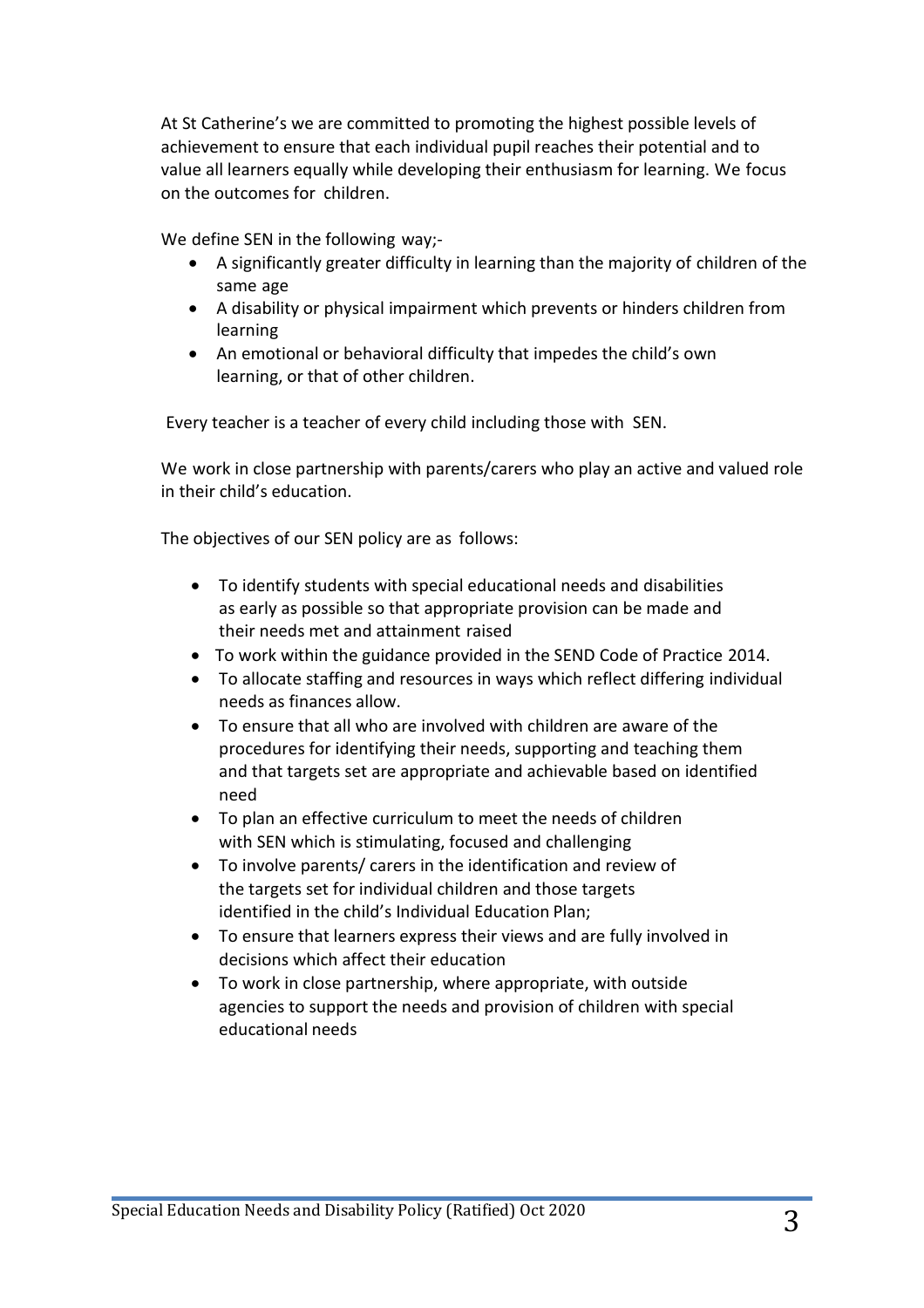At St Catherine's we are committed to promoting the highest possible levels of achievement to ensure that each individual pupil reaches their potential and to value all learners equally while developing their enthusiasm for learning. We focus on the outcomes for children.

We define SEN in the following way;-

- A significantly greater difficulty in learning than the majority of children of the same age
- A disability or physical impairment which prevents or hinders children from learning
- An emotional or behavioral difficulty that impedes the child's own learning, or that of other children.

Every teacher is a teacher of every child including those with SEN.

We work in close partnership with parents/carers who play an active and valued role in their child's education.

The objectives of our SEN policy are as follows:

- To identify students with special educational needs and disabilities as early as possible so that appropriate provision can be made and their needs met and attainment raised
- To work within the guidance provided in the SEND Code of Practice 2014.
- To allocate staffing and resources in ways which reflect differing individual needs as finances allow.
- To ensure that all who are involved with children are aware of the procedures for identifying their needs, supporting and teaching them and that targets set are appropriate and achievable based on identified need
- To plan an effective curriculum to meet the needs of children with SEN which is stimulating, focused and challenging
- To involve parents/ carers in the identification and review of the targets set for individual children and those targets identified in the child's Individual Education Plan;
- To ensure that learners express their views and are fully involved in decisions which affect their education
- To work in close partnership, where appropriate, with outside agencies to support the needs and provision of children with special educational needs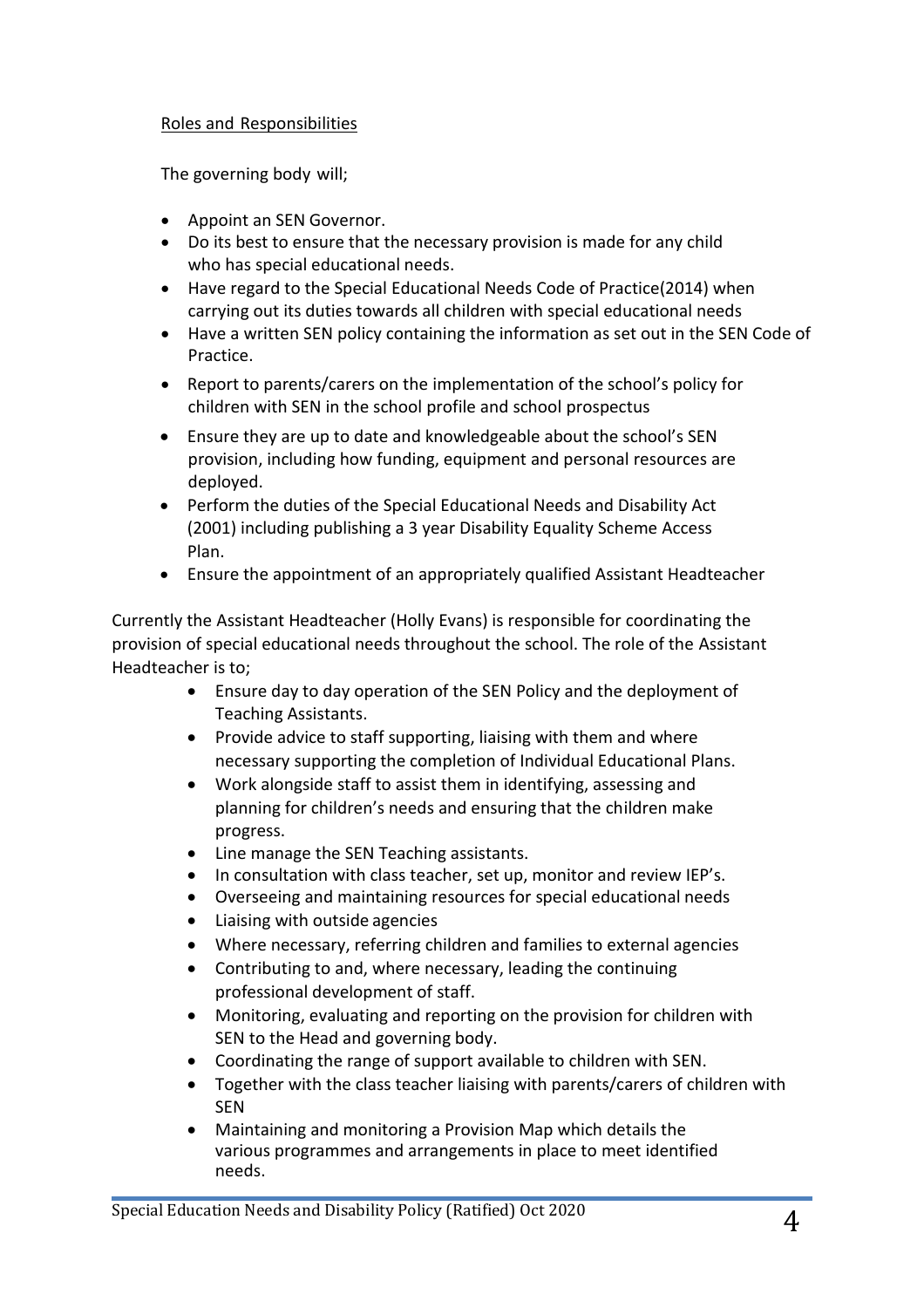## Roles and Responsibilities

The governing body will;

- Appoint an SEN Governor.
- Do its best to ensure that the necessary provision is made for any child who has special educational needs.
- Have regard to the Special Educational Needs Code of Practice(2014) when carrying out its duties towards all children with special educational needs
- Have a written SEN policy containing the information as set out in the SEN Code of Practice.
- Report to parents/carers on the implementation of the school's policy for children with SEN in the school profile and school prospectus
- Ensure they are up to date and knowledgeable about the school's SEN provision, including how funding, equipment and personal resources are deployed.
- Perform the duties of the Special Educational Needs and Disability Act (2001) including publishing a 3 year Disability Equality Scheme Access Plan.
- Ensure the appointment of an appropriately qualified Assistant Headteacher

Currently the Assistant Headteacher (Holly Evans) is responsible for coordinating the provision of special educational needs throughout the school. The role of the Assistant Headteacher is to;

- Ensure day to day operation of the SEN Policy and the deployment of Teaching Assistants.
- Provide advice to staff supporting, liaising with them and where necessary supporting the completion of Individual Educational Plans.
- Work alongside staff to assist them in identifying, assessing and planning for children's needs and ensuring that the children make progress.
- Line manage the SEN Teaching assistants.
- In consultation with class teacher, set up, monitor and review IEP's.
- Overseeing and maintaining resources for special educational needs
- Liaising with outside agencies
- Where necessary, referring children and families to external agencies
- Contributing to and, where necessary, leading the continuing professional development of staff.
- Monitoring, evaluating and reporting on the provision for children with SEN to the Head and governing body.
- Coordinating the range of support available to children with SEN.
- Together with the class teacher liaising with parents/carers of children with SEN
- Maintaining and monitoring a Provision Map which details the various programmes and arrangements in place to meet identified needs.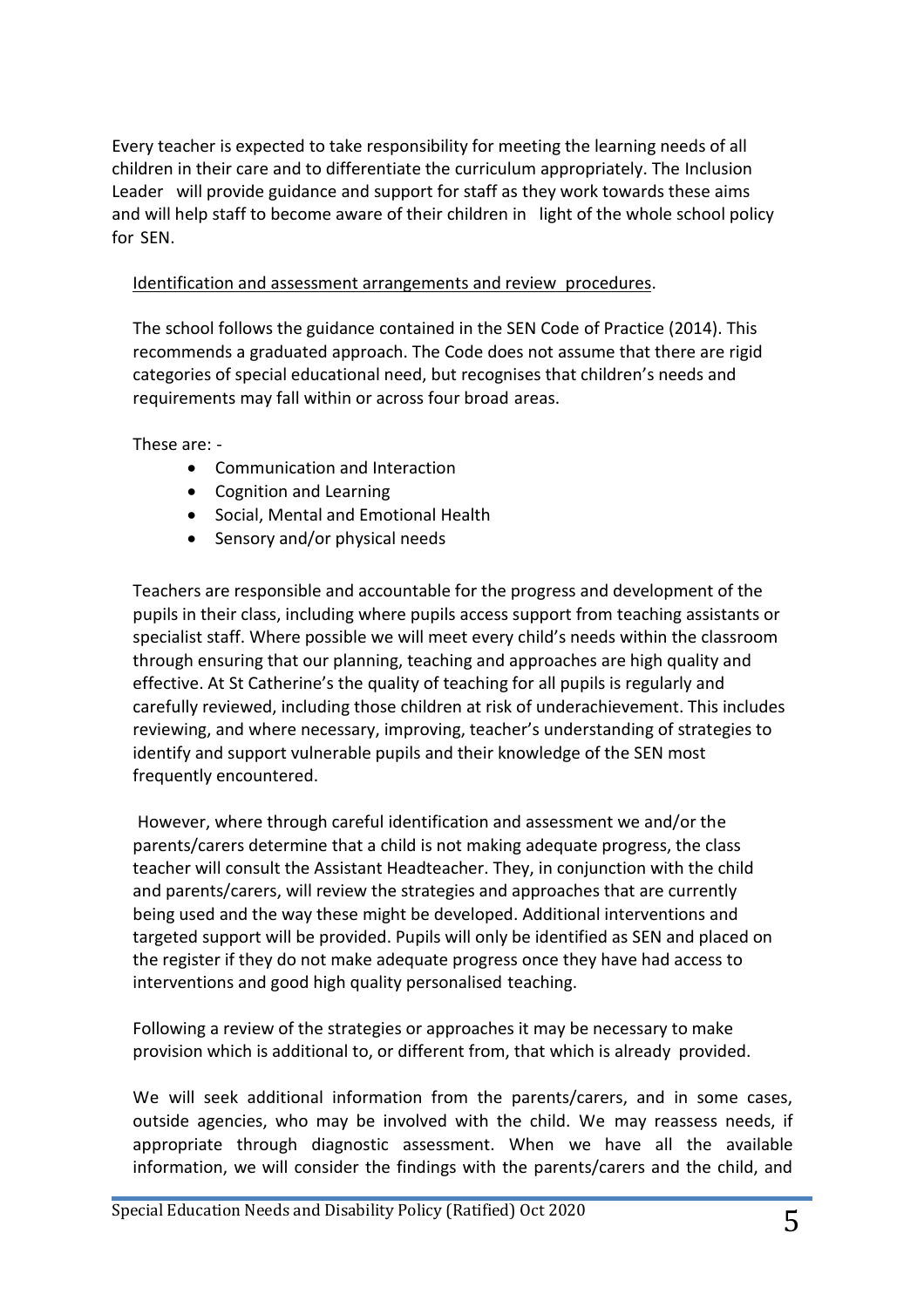Every teacher is expected to take responsibility for meeting the learning needs of all children in their care and to differentiate the curriculum appropriately. The Inclusion Leader will provide guidance and support for staff as they work towards these aims and will help staff to become aware of their children in light of the whole school policy for SEN.

## Identification and assessment arrangements and review procedures.

The school follows the guidance contained in the SEN Code of Practice (2014). This recommends a graduated approach. The Code does not assume that there are rigid categories of special educational need, but recognises that children's needs and requirements may fall within or across four broad areas.

These are: -

- Communication and Interaction
- Cognition and Learning
- Social, Mental and Emotional Health
- Sensory and/or physical needs

Teachers are responsible and accountable for the progress and development of the pupils in their class, including where pupils access support from teaching assistants or specialist staff. Where possible we will meet every child's needs within the classroom through ensuring that our planning, teaching and approaches are high quality and effective. At St Catherine's the quality of teaching for all pupils is regularly and carefully reviewed, including those children at risk of underachievement. This includes reviewing, and where necessary, improving, teacher's understanding of strategies to identify and support vulnerable pupils and their knowledge of the SEN most frequently encountered.

However, where through careful identification and assessment we and/or the parents/carers determine that a child is not making adequate progress, the class teacher will consult the Assistant Headteacher. They, in conjunction with the child and parents/carers, will review the strategies and approaches that are currently being used and the way these might be developed. Additional interventions and targeted support will be provided. Pupils will only be identified as SEN and placed on the register if they do not make adequate progress once they have had access to interventions and good high quality personalised teaching.

Following a review of the strategies or approaches it may be necessary to make provision which is additional to, or different from, that which is already provided.

We will seek additional information from the parents/carers, and in some cases, outside agencies, who may be involved with the child. We may reassess needs, if appropriate through diagnostic assessment. When we have all the available information, we will consider the findings with the parents/carers and the child, and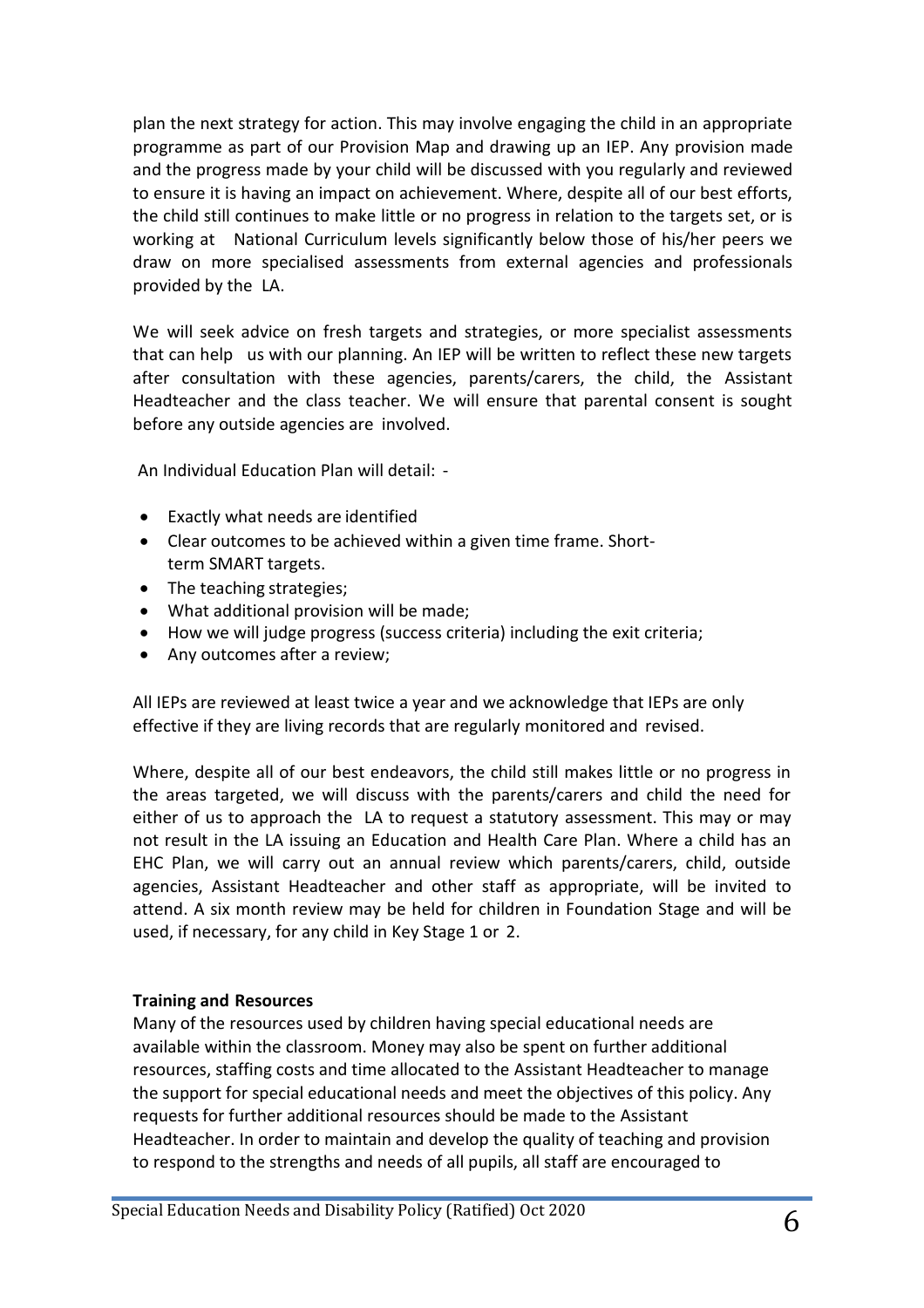plan the next strategy for action. This may involve engaging the child in an appropriate programme as part of our Provision Map and drawing up an IEP. Any provision made and the progress made by your child will be discussed with you regularly and reviewed to ensure it is having an impact on achievement. Where, despite all of our best efforts, the child still continues to make little or no progress in relation to the targets set, or is working at National Curriculum levels significantly below those of his/her peers we draw on more specialised assessments from external agencies and professionals provided by the LA.

We will seek advice on fresh targets and strategies, or more specialist assessments that can help us with our planning. An IEP will be written to reflect these new targets after consultation with these agencies, parents/carers, the child, the Assistant Headteacher and the class teacher. We will ensure that parental consent is sought before any outside agencies are involved.

An Individual Education Plan will detail: -

- Exactly what needs are identified
- Clear outcomes to be achieved within a given time frame. Shortterm SMART targets.
- The teaching strategies;
- What additional provision will be made;
- How we will judge progress (success criteria) including the exit criteria;
- Any outcomes after a review;

All IEPs are reviewed at least twice a year and we acknowledge that IEPs are only effective if they are living records that are regularly monitored and revised.

Where, despite all of our best endeavors, the child still makes little or no progress in the areas targeted, we will discuss with the parents/carers and child the need for either of us to approach the LA to request a statutory assessment. This may or may not result in the LA issuing an Education and Health Care Plan. Where a child has an EHC Plan, we will carry out an annual review which parents/carers, child, outside agencies, Assistant Headteacher and other staff as appropriate, will be invited to attend. A six month review may be held for children in Foundation Stage and will be used, if necessary, for any child in Key Stage 1 or 2.

## **Training and Resources**

Many of the resources used by children having special educational needs are available within the classroom. Money may also be spent on further additional resources, staffing costs and time allocated to the Assistant Headteacher to manage the support for special educational needs and meet the objectives of this policy. Any requests for further additional resources should be made to the Assistant Headteacher. In order to maintain and develop the quality of teaching and provision to respond to the strengths and needs of all pupils, all staff are encouraged to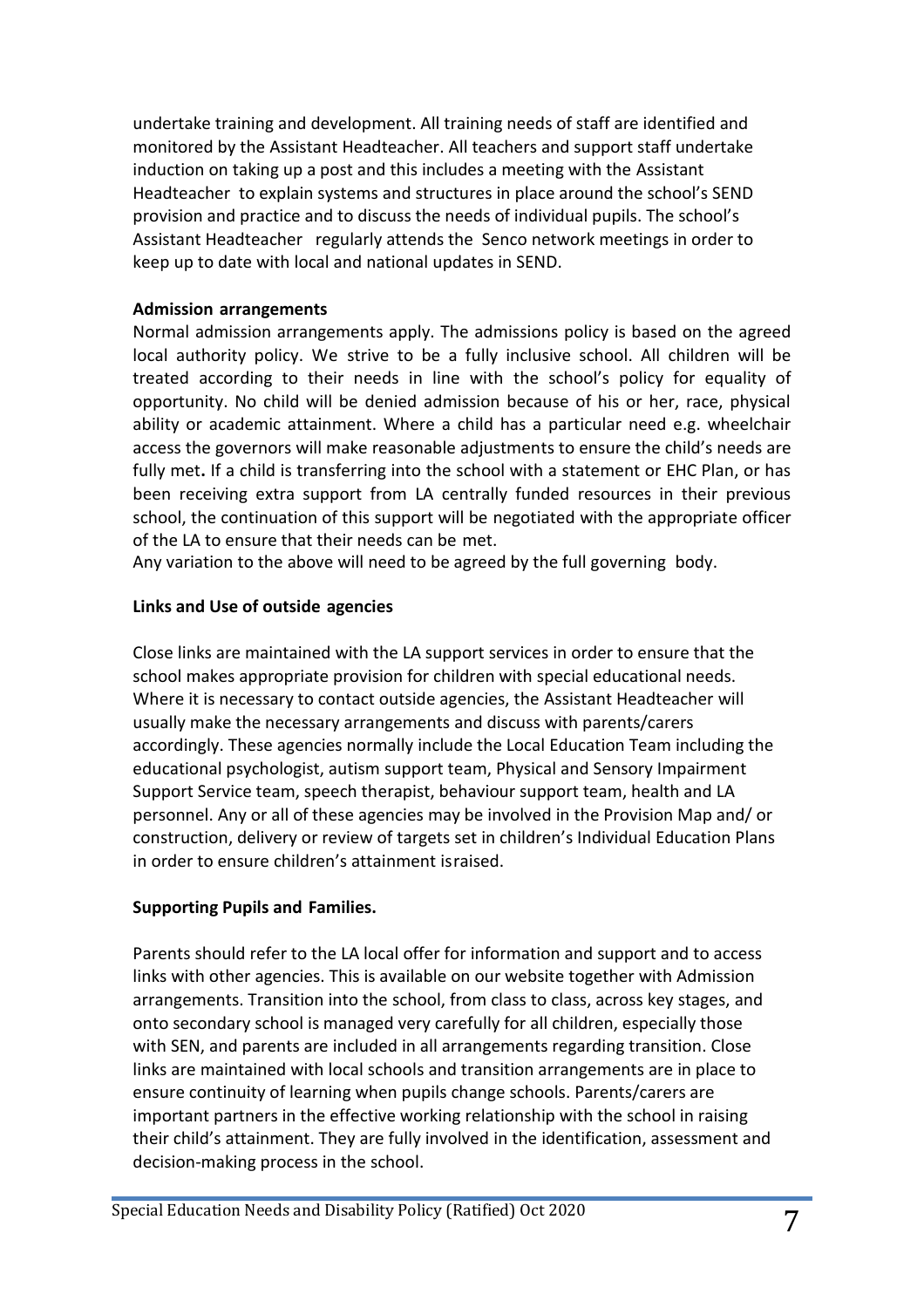undertake training and development. All training needs of staff are identified and monitored by the Assistant Headteacher. All teachers and support staff undertake induction on taking up a post and this includes a meeting with the Assistant Headteacher to explain systems and structures in place around the school's SEND provision and practice and to discuss the needs of individual pupils. The school's Assistant Headteacher regularly attends the Senco network meetings in order to keep up to date with local and national updates in SEND.

#### **Admission arrangements**

Normal admission arrangements apply. The admissions policy is based on the agreed local authority policy. We strive to be a fully inclusive school. All children will be treated according to their needs in line with the school's policy for equality of opportunity. No child will be denied admission because of his or her, race, physical ability or academic attainment. Where a child has a particular need e.g. wheelchair access the governors will make reasonable adjustments to ensure the child's needs are fully met**.** If a child is transferring into the school with a statement or EHC Plan, or has been receiving extra support from LA centrally funded resources in their previous school, the continuation of this support will be negotiated with the appropriate officer of the LA to ensure that their needs can be met.

Any variation to the above will need to be agreed by the full governing body.

#### **Links and Use of outside agencies**

Close links are maintained with the LA support services in order to ensure that the school makes appropriate provision for children with special educational needs. Where it is necessary to contact outside agencies, the Assistant Headteacher will usually make the necessary arrangements and discuss with parents/carers accordingly. These agencies normally include the Local Education Team including the educational psychologist, autism support team, Physical and Sensory Impairment Support Service team, speech therapist, behaviour support team, health and LA personnel. Any or all of these agencies may be involved in the Provision Map and/ or construction, delivery or review of targets set in children's Individual Education Plans in order to ensure children's attainment israised.

## **Supporting Pupils and Families.**

Parents should refer to the LA local offer for information and support and to access links with other agencies. This is available on our website together with Admission arrangements. Transition into the school, from class to class, across key stages, and onto secondary school is managed very carefully for all children, especially those with SEN, and parents are included in all arrangements regarding transition. Close links are maintained with local schools and transition arrangements are in place to ensure continuity of learning when pupils change schools. Parents/carers are important partners in the effective working relationship with the school in raising their child's attainment. They are fully involved in the identification, assessment and decision-making process in the school.